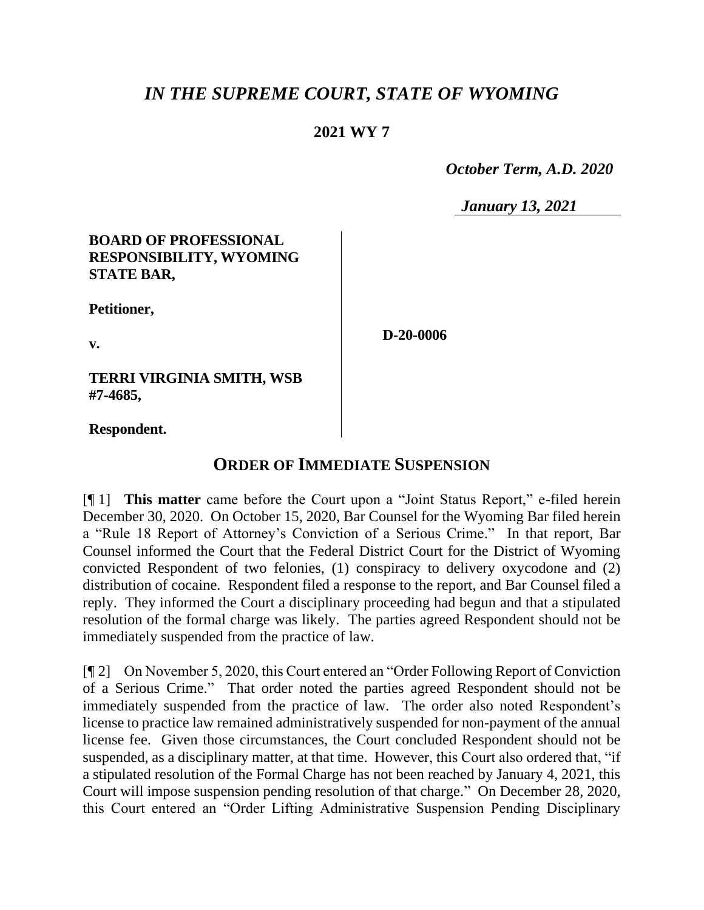# *IN THE SUPREME COURT, STATE OF WYOMING*

### **2021 WY 7**

 *October Term, A.D. 2020*

*January 13, 2021*

#### **BOARD OF PROFESSIONAL RESPONSIBILITY, WYOMING STATE BAR,**

**Petitioner,**

**v.**

**D-20-0006**

**TERRI VIRGINIA SMITH, WSB #7-4685,**

**Respondent.**

## **ORDER OF IMMEDIATE SUSPENSION**

[¶ 1] **This matter** came before the Court upon a "Joint Status Report," e-filed herein December 30, 2020. On October 15, 2020, Bar Counsel for the Wyoming Bar filed herein a "Rule 18 Report of Attorney's Conviction of a Serious Crime." In that report, Bar Counsel informed the Court that the Federal District Court for the District of Wyoming convicted Respondent of two felonies, (1) conspiracy to delivery oxycodone and (2) distribution of cocaine. Respondent filed a response to the report, and Bar Counsel filed a reply. They informed the Court a disciplinary proceeding had begun and that a stipulated resolution of the formal charge was likely. The parties agreed Respondent should not be immediately suspended from the practice of law.

[¶ 2] On November 5, 2020, this Court entered an "Order Following Report of Conviction of a Serious Crime." That order noted the parties agreed Respondent should not be immediately suspended from the practice of law. The order also noted Respondent's license to practice law remained administratively suspended for non-payment of the annual license fee. Given those circumstances, the Court concluded Respondent should not be suspended, as a disciplinary matter, at that time. However, this Court also ordered that, "if a stipulated resolution of the Formal Charge has not been reached by January 4, 2021, this Court will impose suspension pending resolution of that charge." On December 28, 2020, this Court entered an "Order Lifting Administrative Suspension Pending Disciplinary